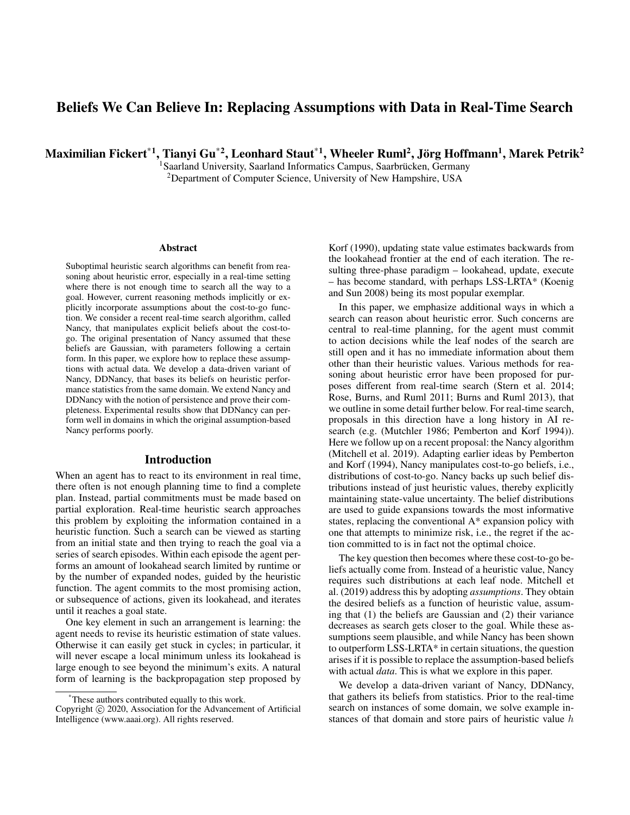# Beliefs We Can Believe In: Replacing Assumptions with Data in Real-Time Search

Maximilian Fickert $^{\ast1}$ , Tianyi Gu $^{\ast2}$ , Leonhard Staut $^{\ast1}$ , Wheeler Ruml $^2$ , Jörg Hoffmann $^1$ , Marek Petrik $^2$ 

<sup>1</sup>Saarland University, Saarland Informatics Campus, Saarbrücken, Germany <sup>2</sup>Department of Computer Science, University of New Hampshire, USA

#### **Abstract**

Suboptimal heuristic search algorithms can benefit from reasoning about heuristic error, especially in a real-time setting where there is not enough time to search all the way to a goal. However, current reasoning methods implicitly or explicitly incorporate assumptions about the cost-to-go function. We consider a recent real-time search algorithm, called Nancy, that manipulates explicit beliefs about the cost-togo. The original presentation of Nancy assumed that these beliefs are Gaussian, with parameters following a certain form. In this paper, we explore how to replace these assumptions with actual data. We develop a data-driven variant of Nancy, DDNancy, that bases its beliefs on heuristic performance statistics from the same domain. We extend Nancy and DDNancy with the notion of persistence and prove their completeness. Experimental results show that DDNancy can perform well in domains in which the original assumption-based Nancy performs poorly.

#### Introduction

When an agent has to react to its environment in real time, there often is not enough planning time to find a complete plan. Instead, partial commitments must be made based on partial exploration. Real-time heuristic search approaches this problem by exploiting the information contained in a heuristic function. Such a search can be viewed as starting from an initial state and then trying to reach the goal via a series of search episodes. Within each episode the agent performs an amount of lookahead search limited by runtime or by the number of expanded nodes, guided by the heuristic function. The agent commits to the most promising action, or subsequence of actions, given its lookahead, and iterates until it reaches a goal state.

One key element in such an arrangement is learning: the agent needs to revise its heuristic estimation of state values. Otherwise it can easily get stuck in cycles; in particular, it will never escape a local minimum unless its lookahead is large enough to see beyond the minimum's exits. A natural form of learning is the backpropagation step proposed by

Korf (1990), updating state value estimates backwards from the lookahead frontier at the end of each iteration. The resulting three-phase paradigm – lookahead, update, execute – has become standard, with perhaps LSS-LRTA\* (Koenig and Sun 2008) being its most popular exemplar.

In this paper, we emphasize additional ways in which a search can reason about heuristic error. Such concerns are central to real-time planning, for the agent must commit to action decisions while the leaf nodes of the search are still open and it has no immediate information about them other than their heuristic values. Various methods for reasoning about heuristic error have been proposed for purposes different from real-time search (Stern et al. 2014; Rose, Burns, and Ruml 2011; Burns and Ruml 2013), that we outline in some detail further below. For real-time search, proposals in this direction have a long history in AI research (e.g. (Mutchler 1986; Pemberton and Korf 1994)). Here we follow up on a recent proposal: the Nancy algorithm (Mitchell et al. 2019). Adapting earlier ideas by Pemberton and Korf (1994), Nancy manipulates cost-to-go beliefs, i.e., distributions of cost-to-go. Nancy backs up such belief distributions instead of just heuristic values, thereby explicitly maintaining state-value uncertainty. The belief distributions are used to guide expansions towards the most informative states, replacing the conventional A\* expansion policy with one that attempts to minimize risk, i.e., the regret if the action committed to is in fact not the optimal choice.

The key question then becomes where these cost-to-go beliefs actually come from. Instead of a heuristic value, Nancy requires such distributions at each leaf node. Mitchell et al. (2019) address this by adopting *assumptions*. They obtain the desired beliefs as a function of heuristic value, assuming that (1) the beliefs are Gaussian and (2) their variance decreases as search gets closer to the goal. While these assumptions seem plausible, and while Nancy has been shown to outperform LSS-LRTA\* in certain situations, the question arises if it is possible to replace the assumption-based beliefs with actual *data*. This is what we explore in this paper.

We develop a data-driven variant of Nancy, DDNancy, that gathers its beliefs from statistics. Prior to the real-time search on instances of some domain, we solve example instances of that domain and store pairs of heuristic value  $h$ 

<sup>\*</sup>These authors contributed equally to this work.

Copyright (c) 2020, Association for the Advancement of Artificial Intelligence (www.aaai.org). All rights reserved.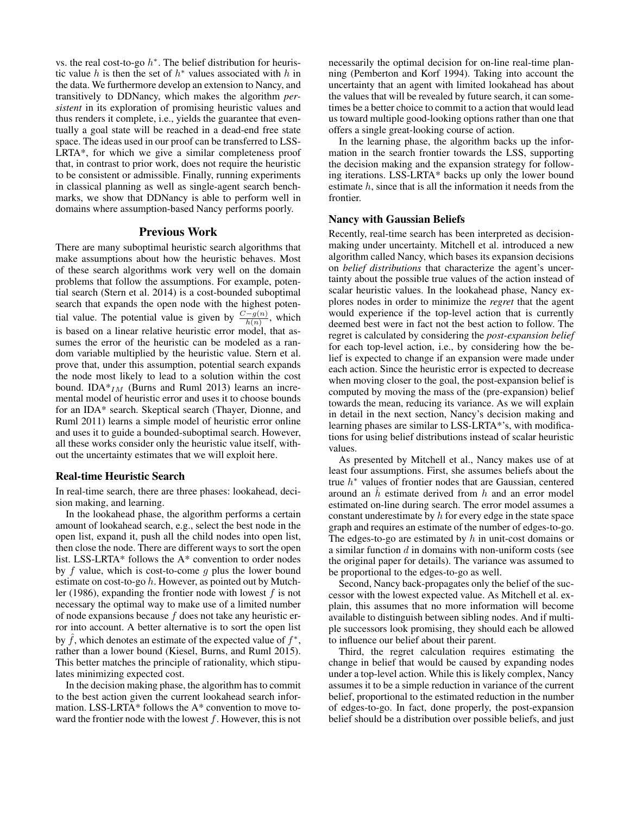vs. the real cost-to-go  $h^*$ . The belief distribution for heuristic value h is then the set of  $h^*$  values associated with h in the data. We furthermore develop an extension to Nancy, and transitively to DDNancy, which makes the algorithm *persistent* in its exploration of promising heuristic values and thus renders it complete, i.e., yields the guarantee that eventually a goal state will be reached in a dead-end free state space. The ideas used in our proof can be transferred to LSS-LRTA\*, for which we give a similar completeness proof that, in contrast to prior work, does not require the heuristic to be consistent or admissible. Finally, running experiments in classical planning as well as single-agent search benchmarks, we show that DDNancy is able to perform well in domains where assumption-based Nancy performs poorly.

#### Previous Work

There are many suboptimal heuristic search algorithms that make assumptions about how the heuristic behaves. Most of these search algorithms work very well on the domain problems that follow the assumptions. For example, potential search (Stern et al. 2014) is a cost-bounded suboptimal search that expands the open node with the highest potential value. The potential value is given by  $\frac{C-g(n)}{h(n)}$ , which is based on a linear relative heuristic error model, that assumes the error of the heuristic can be modeled as a random variable multiplied by the heuristic value. Stern et al. prove that, under this assumption, potential search expands the node most likely to lead to a solution within the cost bound. IDA $*_{IM}$  (Burns and Ruml 2013) learns an incremental model of heuristic error and uses it to choose bounds for an IDA\* search. Skeptical search (Thayer, Dionne, and Ruml 2011) learns a simple model of heuristic error online and uses it to guide a bounded-suboptimal search. However, all these works consider only the heuristic value itself, without the uncertainty estimates that we will exploit here.

#### Real-time Heuristic Search

In real-time search, there are three phases: lookahead, decision making, and learning.

In the lookahead phase, the algorithm performs a certain amount of lookahead search, e.g., select the best node in the open list, expand it, push all the child nodes into open list, then close the node. There are different ways to sort the open list. LSS-LRTA\* follows the A\* convention to order nodes by  $f$  value, which is cost-to-come  $g$  plus the lower bound estimate on cost-to-go h. However, as pointed out by Mutchler (1986), expanding the frontier node with lowest  $f$  is not necessary the optimal way to make use of a limited number of node expansions because  $f$  does not take any heuristic error into account. A better alternative is to sort the open list by  $\hat{f}$ , which denotes an estimate of the expected value of  $f^*$ , rather than a lower bound (Kiesel, Burns, and Ruml 2015). This better matches the principle of rationality, which stipulates minimizing expected cost.

In the decision making phase, the algorithm has to commit to the best action given the current lookahead search information. LSS-LRTA\* follows the A\* convention to move toward the frontier node with the lowest  $f$ . However, this is not

necessarily the optimal decision for on-line real-time planning (Pemberton and Korf 1994). Taking into account the uncertainty that an agent with limited lookahead has about the values that will be revealed by future search, it can sometimes be a better choice to commit to a action that would lead us toward multiple good-looking options rather than one that offers a single great-looking course of action.

In the learning phase, the algorithm backs up the information in the search frontier towards the LSS, supporting the decision making and the expansion strategy for following iterations. LSS-LRTA\* backs up only the lower bound estimate  $h$ , since that is all the information it needs from the frontier.

#### Nancy with Gaussian Beliefs

Recently, real-time search has been interpreted as decisionmaking under uncertainty. Mitchell et al. introduced a new algorithm called Nancy, which bases its expansion decisions on *belief distributions* that characterize the agent's uncertainty about the possible true values of the action instead of scalar heuristic values. In the lookahead phase, Nancy explores nodes in order to minimize the *regret* that the agent would experience if the top-level action that is currently deemed best were in fact not the best action to follow. The regret is calculated by considering the *post-expansion belief* for each top-level action, i.e., by considering how the belief is expected to change if an expansion were made under each action. Since the heuristic error is expected to decrease when moving closer to the goal, the post-expansion belief is computed by moving the mass of the (pre-expansion) belief towards the mean, reducing its variance. As we will explain in detail in the next section, Nancy's decision making and learning phases are similar to LSS-LRTA\*'s, with modifications for using belief distributions instead of scalar heuristic values.

As presented by Mitchell et al., Nancy makes use of at least four assumptions. First, she assumes beliefs about the true  $h^*$  values of frontier nodes that are Gaussian, centered around an  $h$  estimate derived from  $h$  and an error model estimated on-line during search. The error model assumes a constant underestimate by  $h$  for every edge in the state space graph and requires an estimate of the number of edges-to-go. The edges-to-go are estimated by  $h$  in unit-cost domains or a similar function  $d$  in domains with non-uniform costs (see the original paper for details). The variance was assumed to be proportional to the edges-to-go as well.

Second, Nancy back-propagates only the belief of the successor with the lowest expected value. As Mitchell et al. explain, this assumes that no more information will become available to distinguish between sibling nodes. And if multiple successors look promising, they should each be allowed to influence our belief about their parent.

Third, the regret calculation requires estimating the change in belief that would be caused by expanding nodes under a top-level action. While this is likely complex, Nancy assumes it to be a simple reduction in variance of the current belief, proportional to the estimated reduction in the number of edges-to-go. In fact, done properly, the post-expansion belief should be a distribution over possible beliefs, and just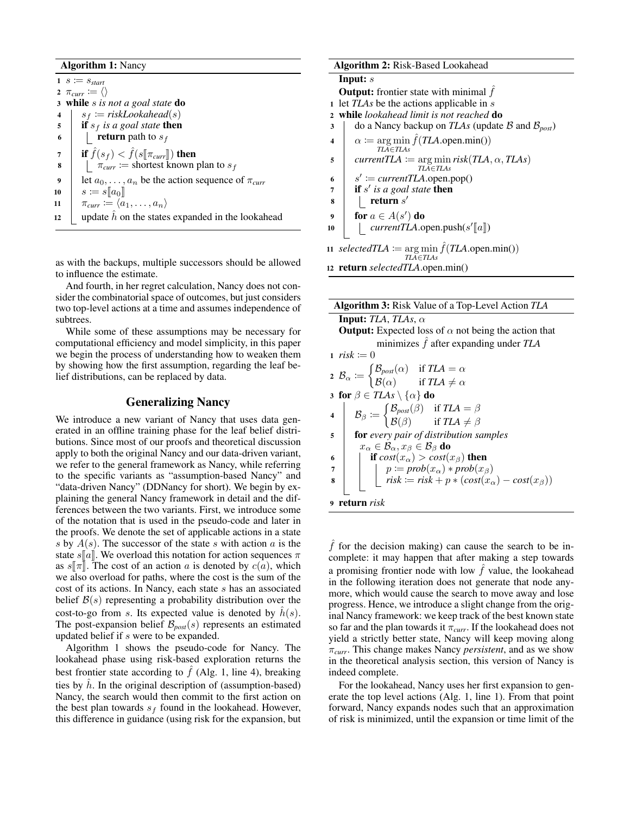#### Algorithm 1: Nancy

 $1 \ s := s_{start}$ 2  $\pi_{curr} := \langle \rangle$ <sup>3</sup> while s *is not a goal state* do 4  $s_f := \text{riskLook ahead}(s)$ 5 **if**  $s_f$  *is a goal state* then 6 **Figure return** path to  $s_f$  $\begin{array}{c} \tau \\ \text{s} \end{array}$  if  $\hat{f}(s_f) < \hat{f}(s[\![\pi_{curr}]\!])$  then<br>  $\begin{array}{c} \text{s} \\ \text{1} \end{array}$   $\pi_{curr} := \text{shortest known}$  $\pi_{curr} :=$  shortest known plan to  $s_f$ 9 et  $a_0, \ldots, a_n$  be the action sequence of  $\pi_{curr}$  $\begin{array}{c|c} \textbf{10} & s \coloneqq s[\![a_0]\!] \ \textbf{11} & \pi_{curr} \coloneqq \langle a \rangle \end{array}$  $\pi_{curr} \coloneqq \langle a_1, \ldots, a_n \rangle$ 12 update h on the states expanded in the lookahead

as with the backups, multiple successors should be allowed to influence the estimate.

And fourth, in her regret calculation, Nancy does not consider the combinatorial space of outcomes, but just considers two top-level actions at a time and assumes independence of subtrees.

While some of these assumptions may be necessary for computational efficiency and model simplicity, in this paper we begin the process of understanding how to weaken them by showing how the first assumption, regarding the leaf belief distributions, can be replaced by data.

## Generalizing Nancy

We introduce a new variant of Nancy that uses data generated in an offline training phase for the leaf belief distributions. Since most of our proofs and theoretical discussion apply to both the original Nancy and our data-driven variant, we refer to the general framework as Nancy, while referring to the specific variants as "assumption-based Nancy" and "data-driven Nancy" (DDNancy for short). We begin by explaining the general Nancy framework in detail and the differences between the two variants. First, we introduce some of the notation that is used in the pseudo-code and later in the proofs. We denote the set of applicable actions in a state s by  $A(s)$ . The successor of the state s with action a is the state  $s[[a]]$ . We overload this notation for action sequences  $\pi$ as  $s\Vert \pi\Vert$ . The cost of an action a is denoted by  $c(a)$ , which we also overload for paths, where the cost is the sum of the cost of its actions. In Nancy, each state s has an associated belief  $B(s)$  representing a probability distribution over the cost-to-go from s. Its expected value is denoted by  $\hat{h}(s)$ . The post-expansion belief  $\mathcal{B}_{\text{post}}(s)$  represents an estimated updated belief if s were to be expanded.

Algorithm 1 shows the pseudo-code for Nancy. The lookahead phase using risk-based exploration returns the best frontier state according to  $\hat{f}$  (Alg. 1, line 4), breaking ties by  $\hat{h}$ . In the original description of (assumption-based) Nancy, the search would then commit to the first action on the best plan towards  $s_f$  found in the lookahead. However, this difference in guidance (using risk for the expansion, but

| <b>Algorithm 2: Risk-Based Lookahead</b>                |                                                                                                      |  |  |  |  |  |  |  |
|---------------------------------------------------------|------------------------------------------------------------------------------------------------------|--|--|--|--|--|--|--|
| Input: $s$                                              |                                                                                                      |  |  |  |  |  |  |  |
| <b>Output:</b> frontier state with minimal $f$          |                                                                                                      |  |  |  |  |  |  |  |
| let TLAs be the actions applicable in s<br>$\mathbf{1}$ |                                                                                                      |  |  |  |  |  |  |  |
| $\mathbf{2}$                                            | while lookahead limit is not reached <b>do</b>                                                       |  |  |  |  |  |  |  |
| 3                                                       | do a Nancy backup on TLAs (update B and $\mathcal{B}_{post}$ )                                       |  |  |  |  |  |  |  |
| 4                                                       | $\alpha := \arg \min \hat{f}(TLA.\text{open.min}())$                                                 |  |  |  |  |  |  |  |
|                                                         | $TLA \in TLAS$                                                                                       |  |  |  |  |  |  |  |
| 5                                                       | <i>currentTLA</i> $:=$ arg min <i>risk</i> ( <i>TLA</i> , $\alpha$ , <i>TLAs</i> )<br>$TLA \in TLAS$ |  |  |  |  |  |  |  |
| 6                                                       | $s' \coloneqq currentTLA.open.pop()$                                                                 |  |  |  |  |  |  |  |
| 7                                                       | if $s'$ is a goal state then                                                                         |  |  |  |  |  |  |  |
| 8                                                       | return $s'$                                                                                          |  |  |  |  |  |  |  |
| 9                                                       | for $a \in A(s')$ do                                                                                 |  |  |  |  |  |  |  |
| 10                                                      | <i>currentTLA</i> .open.push( $s'$ [a])                                                              |  |  |  |  |  |  |  |
|                                                         |                                                                                                      |  |  |  |  |  |  |  |
|                                                         | 11 selected $TLA := \arg \min \hat{f}(TLA.\text{open.min}())$<br>$TLA \in TLAS$                      |  |  |  |  |  |  |  |
|                                                         | 12 return selectedTLA.open.min()                                                                     |  |  |  |  |  |  |  |

| <b>Algorithm 3: Risk Value of a Top-Level Action TLA</b>                                                                                                       |  |  |  |  |  |  |  |
|----------------------------------------------------------------------------------------------------------------------------------------------------------------|--|--|--|--|--|--|--|
| <b>Input:</b> TLA, TLAs, $\alpha$                                                                                                                              |  |  |  |  |  |  |  |
| <b>Output:</b> Expected loss of $\alpha$ not being the action that                                                                                             |  |  |  |  |  |  |  |
| minimizes $\hat{f}$ after expanding under TLA                                                                                                                  |  |  |  |  |  |  |  |
| 1 $risk := 0$                                                                                                                                                  |  |  |  |  |  |  |  |
| 2 $B_{\alpha} := \begin{cases} B_{post}(\alpha) & \text{if } TLA = \alpha \\ B(\alpha) & \text{if } TLA \neq \alpha \end{cases}$                               |  |  |  |  |  |  |  |
|                                                                                                                                                                |  |  |  |  |  |  |  |
| 3 for $\beta \in T L A s \setminus {\alpha}$ do                                                                                                                |  |  |  |  |  |  |  |
| $\mathcal{B}_{\beta} \coloneqq \begin{cases} \mathcal{B}_{post}(\beta) & \text{if } TLA = \beta \\ \mathcal{B}(\beta) & \text{if } TLA \neq \beta \end{cases}$ |  |  |  |  |  |  |  |
|                                                                                                                                                                |  |  |  |  |  |  |  |
| for every pair of distribution samples<br>5                                                                                                                    |  |  |  |  |  |  |  |
| $x_{\alpha} \in \mathcal{B}_{\alpha}, x_{\beta} \in \mathcal{B}_{\beta}$ do                                                                                    |  |  |  |  |  |  |  |
| if $cost(x_{\alpha}) > cost(x_{\beta})$ then<br>6                                                                                                              |  |  |  |  |  |  |  |
|                                                                                                                                                                |  |  |  |  |  |  |  |
| $\left  \begin{array}{r} p := prob(x_{\alpha}) * prob(x_{\beta}) \\ risk := risk + p * (cost(x_{\alpha}) - cost(x_{\beta})) \end{array} \right $<br>8          |  |  |  |  |  |  |  |
|                                                                                                                                                                |  |  |  |  |  |  |  |
| return risk                                                                                                                                                    |  |  |  |  |  |  |  |
|                                                                                                                                                                |  |  |  |  |  |  |  |

 $\hat{f}$  for the decision making) can cause the search to be incomplete: it may happen that after making a step towards a promising frontier node with low  $\hat{f}$  value, the lookahead in the following iteration does not generate that node anymore, which would cause the search to move away and lose progress. Hence, we introduce a slight change from the original Nancy framework: we keep track of the best known state so far and the plan towards it  $\pi_{curr}$ . If the lookahead does not yield a strictly better state, Nancy will keep moving along π*curr*. This change makes Nancy *persistent*, and as we show in the theoretical analysis section, this version of Nancy is indeed complete.

For the lookahead, Nancy uses her first expansion to generate the top level actions (Alg. 1, line 1). From that point forward, Nancy expands nodes such that an approximation of risk is minimized, until the expansion or time limit of the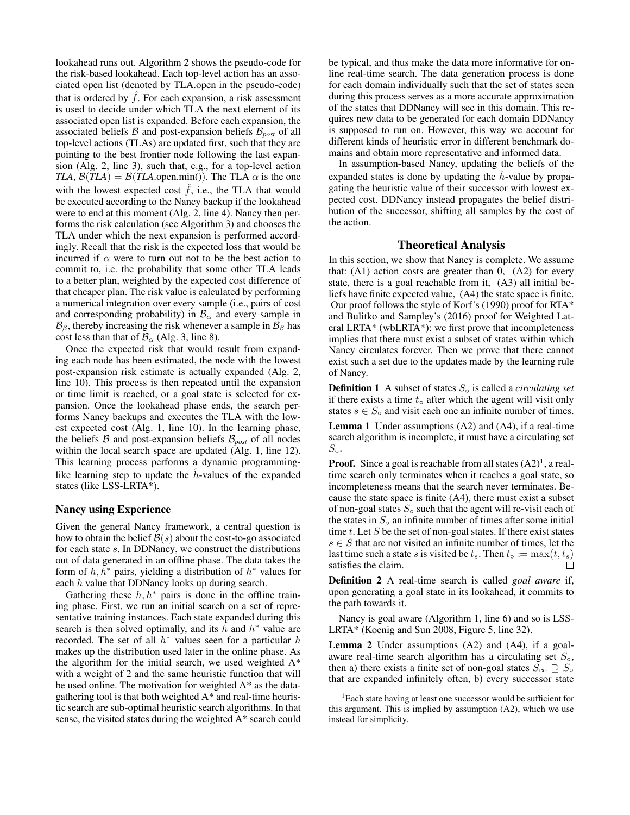lookahead runs out. Algorithm 2 shows the pseudo-code for the risk-based lookahead. Each top-level action has an associated open list (denoted by TLA.open in the pseudo-code) that is ordered by  $\hat{f}$ . For each expansion, a risk assessment is used to decide under which TLA the next element of its associated open list is expanded. Before each expansion, the associated beliefs  $\beta$  and post-expansion beliefs  $\beta_{post}$  of all top-level actions (TLAs) are updated first, such that they are pointing to the best frontier node following the last expansion (Alg. 2, line 3), such that, e.g., for a top-level action *TLA*,  $\mathcal{B}(TLA) = \mathcal{B}(TLA \text{.open.min}()$ . The TLA  $\alpha$  is the one with the lowest expected cost  $\hat{f}$ , i.e., the TLA that would be executed according to the Nancy backup if the lookahead were to end at this moment (Alg. 2, line 4). Nancy then performs the risk calculation (see Algorithm 3) and chooses the TLA under which the next expansion is performed accordingly. Recall that the risk is the expected loss that would be incurred if  $\alpha$  were to turn out not to be the best action to commit to, i.e. the probability that some other TLA leads to a better plan, weighted by the expected cost difference of that cheaper plan. The risk value is calculated by performing a numerical integration over every sample (i.e., pairs of cost and corresponding probability) in  $\mathcal{B}_{\alpha}$  and every sample in  $\mathcal{B}_{\beta}$ , thereby increasing the risk whenever a sample in  $\mathcal{B}_{\beta}$  has cost less than that of  $\mathcal{B}_{\alpha}$  (Alg. 3, line 8).

Once the expected risk that would result from expanding each node has been estimated, the node with the lowest post-expansion risk estimate is actually expanded (Alg. 2, line 10). This process is then repeated until the expansion or time limit is reached, or a goal state is selected for expansion. Once the lookahead phase ends, the search performs Nancy backups and executes the TLA with the lowest expected cost (Alg. 1, line 10). In the learning phase, the beliefs  $\beta$  and post-expansion beliefs  $\beta_{post}$  of all nodes within the local search space are updated (Alg. 1, line 12). This learning process performs a dynamic programminglike learning step to update the  $h$ -values of the expanded states (like LSS-LRTA\*).

#### Nancy using Experience

Given the general Nancy framework, a central question is how to obtain the belief  $\mathcal{B}(s)$  about the cost-to-go associated for each state s. In DDNancy, we construct the distributions out of data generated in an offline phase. The data takes the form of  $h, h^*$  pairs, yielding a distribution of  $h^*$  values for each  $h$  value that DDNancy looks up during search.

Gathering these  $h, h^*$  pairs is done in the offline training phase. First, we run an initial search on a set of representative training instances. Each state expanded during this search is then solved optimally, and its  $\hat{h}$  and  $h^*$  value are recorded. The set of all  $h^*$  values seen for a particular  $h$ makes up the distribution used later in the online phase. As the algorithm for the initial search, we used weighted  $A^*$ with a weight of 2 and the same heuristic function that will be used online. The motivation for weighted A\* as the datagathering tool is that both weighted A\* and real-time heuristic search are sub-optimal heuristic search algorithms. In that sense, the visited states during the weighted A\* search could

be typical, and thus make the data more informative for online real-time search. The data generation process is done for each domain individually such that the set of states seen during this process serves as a more accurate approximation of the states that DDNancy will see in this domain. This requires new data to be generated for each domain DDNancy is supposed to run on. However, this way we account for different kinds of heuristic error in different benchmark domains and obtain more representative and informed data.

In assumption-based Nancy, updating the beliefs of the expanded states is done by updating the  $h$ -value by propagating the heuristic value of their successor with lowest expected cost. DDNancy instead propagates the belief distribution of the successor, shifting all samples by the cost of the action.

### Theoretical Analysis

In this section, we show that Nancy is complete. We assume that:  $(A1)$  action costs are greater than 0,  $(A2)$  for every state, there is a goal reachable from it, (A3) all initial beliefs have finite expected value, (A4) the state space is finite. Our proof follows the style of Korf's (1990) proof for RTA\* and Bulitko and Sampley's (2016) proof for Weighted Lateral LRTA\* (wbLRTA\*): we first prove that incompleteness implies that there must exist a subset of states within which Nancy circulates forever. Then we prove that there cannot exist such a set due to the updates made by the learning rule of Nancy.

Definition 1 A subset of states S◦ is called a *circulating set* if there exists a time  $t<sub>°</sub>$  after which the agent will visit only states  $s \in S<sub>o</sub>$  and visit each one an infinite number of times.

Lemma 1 Under assumptions (A2) and (A4), if a real-time search algorithm is incomplete, it must have a circulating set  $S_{\circ}$ .

**Proof.** Since a goal is reachable from all states  $(A2)^{1}$ , a realtime search only terminates when it reaches a goal state, so incompleteness means that the search never terminates. Because the state space is finite (A4), there must exist a subset of non-goal states  $S_0$  such that the agent will re-visit each of the states in  $S<sub>°</sub>$  an infinite number of times after some initial time  $t$ . Let  $S$  be the set of non-goal states. If there exist states  $s \in S$  that are not visited an infinite number of times, let the last time such a state s is visited be  $t_s$ . Then  $t_o := \max(t, t_s)$  satisfies the claim. satisfies the claim.

Definition 2 A real-time search is called *goal aware* if, upon generating a goal state in its lookahead, it commits to the path towards it.

Nancy is goal aware (Algorithm 1, line 6) and so is LSS-LRTA\* (Koenig and Sun 2008, Figure 5, line 32).

Lemma 2 Under assumptions (A2) and (A4), if a goalaware real-time search algorithm has a circulating set  $S_{\rm o}$ , then a) there exists a finite set of non-goal states  $S_{\infty} \supseteq S_{\infty}$ that are expanded infinitely often, b) every successor state

<sup>&</sup>lt;sup>1</sup>Each state having at least one successor would be sufficient for this argument. This is implied by assumption (A2), which we use instead for simplicity.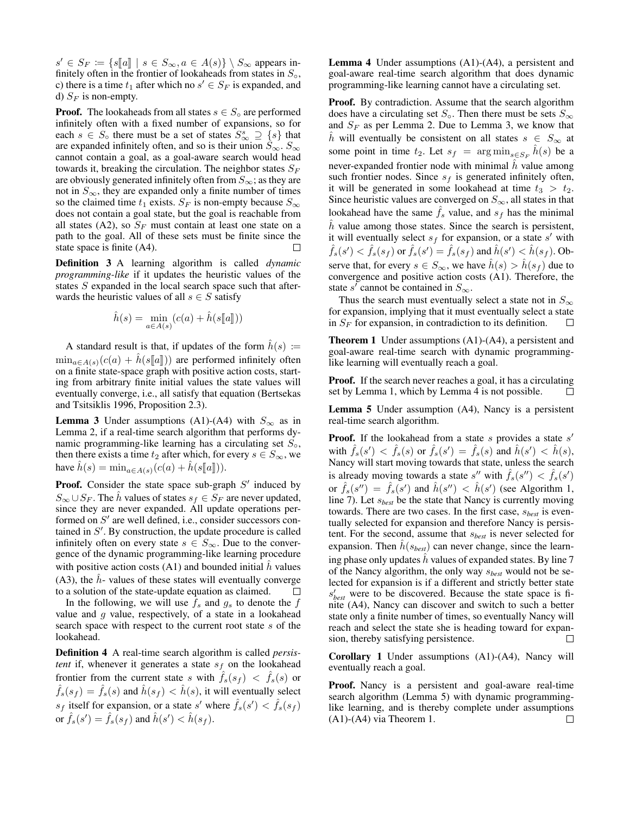$s' \in S_F := \{ s[[a]] \mid s \in S_\infty, a \in A(s) \} \setminus S_\infty$  appears in-<br>finitely often in the frontier of lookaheads from states in S finitely often in the frontier of lookaheads from states in  $S_{\circ}$ , c) there is a time  $t_1$  after which no  $s' \in S_F$  is expanded, and d)  $S_F$  is non-empty.

**Proof.** The lookaheads from all states  $s \in S_0$  are performed infinitely often with a fixed number of expansions, so for each  $s \in S_0$  there must be a set of states  $S^s_{\infty} \supseteq \{s\}$  that are expanded infinitely often, and so is their union  $S_{\infty}$ .  $S_{\infty}$ cannot contain a goal, as a goal-aware search would head towards it, breaking the circulation. The neighbor states  $S_F$ are obviously generated infinitely often from  $S_{\infty}$ ; as they are not in  $S_{\infty}$ , they are expanded only a finite number of times so the claimed time  $t_1$  exists.  $S_F$  is non-empty because  $S_{\infty}$ does not contain a goal state, but the goal is reachable from all states (A2), so  $S_F$  must contain at least one state on a path to the goal. All of these sets must be finite since the state space is finite (A4).  $\Box$ 

Definition 3 A learning algorithm is called *dynamic programming-like* if it updates the heuristic values of the states S expanded in the local search space such that afterwards the heuristic values of all  $s \in S$  satisfy

$$
\hat{h}(s) = \min_{a \in A(s)} (c(a) + \hat{h}(s[[a]])
$$

A standard result is that, if updates of the form  $\hat{h}(s) :=$  $\min_{a \in A(s)} (c(a) + h(s\llbracket a \rrbracket))$  are performed infinitely often on a finite state-space graph with positive action costs, starting from arbitrary finite initial values the state values will eventually converge, i.e., all satisfy that equation (Bertsekas and Tsitsiklis 1996, Proposition 2.3).

**Lemma 3** Under assumptions (A1)-(A4) with  $S_{\infty}$  as in Lemma 2, if a real-time search algorithm that performs dynamic programming-like learning has a circulating set  $S_{\circ}$ , then there exists a time  $t_2$  after which, for every  $s \in S_{\infty}$ , we have  $\hat{h}(s) = \min_{a \in A(s)} (c(a) + \hat{h}(s[[a]])).$ 

**Proof.** Consider the state space sub-graph  $S'$  induced by  $S_{\infty} \cup S_F$ . The  $\tilde{h}$  values of states  $s_f \in S_F$  are never updated, since they are never expanded. All update operations performed on  $S'$  are well defined, i.e., consider successors contained in  $S'$ . By construction, the update procedure is called infinitely often on every state  $s \in S_{\infty}$ . Due to the convergence of the dynamic programming-like learning procedure with positive action costs  $(A1)$  and bounded initial h values (A3), the  $\hat{h}$ - values of these states will eventually converge to a solution of the state-update equation as claimed.  $\Box$ 

In the following, we will use  $f_s$  and  $g_s$  to denote the  $f$ value and  $g$  value, respectively, of a state in a lookahead search space with respect to the current root state s of the lookahead.

Definition 4 A real-time search algorithm is called *persistent* if, whenever it generates a state  $s_f$  on the lookahead frontier from the current state s with  $\hat{f}_s(s_f) < \hat{f}_s(s)$  or  $\hat{f}_s(s_f) = \hat{f}_s(s)$  and  $\hat{h}(s_f) < \hat{h}(s)$ , it will eventually select  $s_f$  itself for expansion, or a state s' where  $\hat{f}_s(s') < \hat{f}_s(s_f)$ or  $\hat{f}_s(s') = \hat{f}_s(s_f)$  and  $\hat{h}(s') < \hat{h}(s_f)$ .

Lemma 4 Under assumptions (A1)-(A4), a persistent and goal-aware real-time search algorithm that does dynamic programming-like learning cannot have a circulating set.

**Proof.** By contradiction. Assume that the search algorithm does have a circulating set  $S_{\infty}$ . Then there must be sets  $S_{\infty}$ and  $S_F$  as per Lemma 2. Due to Lemma 3, we know that  $\hat{h}$  will eventually be consistent on all states  $s \in S_{\infty}$  at some point in time  $t_2$ . Let  $s_f = \arg \min_{s \in S_F} \hat{h}(s)$  be a never-expanded frontier node with minimal  $\hat{h}$  value among such frontier nodes. Since  $s_f$  is generated infinitely often, it will be generated in some lookahead at time  $t_3 > t_2$ . Since heuristic values are converged on  $S_{\infty}$ , all states in that lookahead have the same  $\hat{f}_s$  value, and  $s_f$  has the minimal  $h$  value among those states. Since the search is persistent, it will eventually select  $s_f$  for expansion, or a state  $s'$  with  $\hat{f}_s(s') < \hat{f}_s(s_f)$  or  $\hat{f}_s(s') = \hat{f}_s(s_f)$  and  $\hat{h}(s') < \hat{h}(s_f)$ . Observe that, for every  $s \in S_{\infty}$ , we have  $\hat{h}(s) > \hat{h}(s_f)$  due to convergence and positive action costs (A1). Therefore, the state s' cannot be contained in  $S_{\infty}$ .

Thus the search must eventually select a state not in  $S_{\infty}$ for expansion, implying that it must eventually select a state in  $S_F$  for expansion, in contradiction to its definition.  $\Box$ 

Theorem 1 Under assumptions (A1)-(A4), a persistent and goal-aware real-time search with dynamic programminglike learning will eventually reach a goal.

Proof. If the search never reaches a goal, it has a circulating set by Lemma 1, which by Lemma 4 is not possible. П

Lemma 5 Under assumption (A4), Nancy is a persistent real-time search algorithm.

**Proof.** If the lookahead from a state  $s$  provides a state  $s'$ with  $\hat{f}_s(s') < \hat{f}_s(s)$  or  $\hat{f}_s(s') = \hat{f}_s(s)$  and  $\hat{h}(s') < \hat{h}(s)$ , Nancy will start moving towards that state, unless the search is already moving towards a state s'' with  $\hat{f}_s(s'') < \hat{f}_s(s')$ or  $\hat{f}_s(s'') = \hat{f}_s(s')$  and  $\hat{h}(s'') < \hat{h}(s')$  (see Algorithm 1, line 7). Let s*best* be the state that Nancy is currently moving towards. There are two cases. In the first case, s*best* is eventually selected for expansion and therefore Nancy is persistent. For the second, assume that s*best* is never selected for expansion. Then  $\tilde{h}(s_{best})$  can never change, since the learning phase only updates  $\hat{h}$  values of expanded states. By line 7 of the Nancy algorithm, the only way s*best* would not be selected for expansion is if a different and strictly better state s 0 *best* were to be discovered. Because the state space is finite (A4), Nancy can discover and switch to such a better state only a finite number of times, so eventually Nancy will reach and select the state she is heading toward for expansion, thereby satisfying persistence.  $\Box$ 

Corollary 1 Under assumptions (A1)-(A4), Nancy will eventually reach a goal.

Proof. Nancy is a persistent and goal-aware real-time search algorithm (Lemma 5) with dynamic programminglike learning, and is thereby complete under assumptions (A1)-(A4) via Theorem 1. $\Box$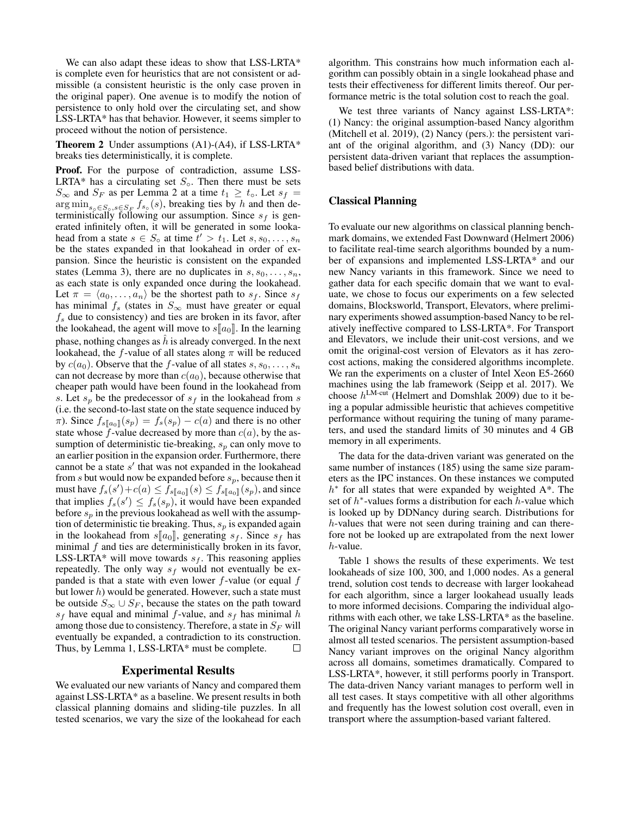We can also adapt these ideas to show that LSS-LRTA\* is complete even for heuristics that are not consistent or admissible (a consistent heuristic is the only case proven in the original paper). One avenue is to modify the notion of persistence to only hold over the circulating set, and show LSS-LRTA\* has that behavior. However, it seems simpler to proceed without the notion of persistence.

**Theorem 2** Under assumptions  $(A1)-(A4)$ , if LSS-LRTA\* breaks ties deterministically, it is complete.

Proof. For the purpose of contradiction, assume LSS-LRTA\* has a circulating set  $S_{\circ}$ . Then there must be sets  $S_{\infty}$  and  $S_F$  as per Lemma 2 at a time  $t_1 \geq t_{\circ}$ . Let  $s_f =$  $\arg \min_{s_\circ \in S_\circ, s \in S_F} f_{s_\circ}(s)$ , breaking ties by h and then deterministically following our assumption. Since  $s_f$  is generated infinitely often, it will be generated in some lookahead from a state  $s \in S_0$  at time  $t' > t_1$ . Let  $s, s_0, \ldots, s_n$ be the states expanded in that lookahead in order of expansion. Since the heuristic is consistent on the expanded states (Lemma 3), there are no duplicates in  $s, s_0, \ldots, s_n$ , as each state is only expanded once during the lookahead. Let  $\pi = \langle a_0, \ldots, a_n \rangle$  be the shortest path to  $s_f$ . Since  $s_f$ has minimal  $f_s$  (states in  $S_{\infty}$  must have greater or equal  $f<sub>s</sub>$  due to consistency) and ties are broken in its favor, after the lookahead, the agent will move to  $s[[a_0]]$ . In the learning phase, nothing changes as  $\hat{h}$  is already converged. In the next lookahead, the f-value of all states along  $\pi$  will be reduced by  $c(a_0)$ . Observe that the f-value of all states  $s, s_0, \ldots, s_n$ can not decrease by more than  $c(a_0)$ , because otherwise that cheaper path would have been found in the lookahead from s. Let  $s_p$  be the predecessor of  $s_f$  in the lookahead from s (i.e. the second-to-last state on the state sequence induced by  $\pi$ ). Since  $f_{s\llbracket a_0 \rrbracket}(s_p) = f_s(s_p) - c(a)$  and there is no other state whose  $f$ -value decreased by more than  $c(a)$ , by the assumption of deterministic tie-breaking,  $s_p$  can only move to an earlier position in the expansion order. Furthermore, there cannot be a state  $s'$  that was not expanded in the lookahead from s but would now be expanded before  $s_p$ , because then it must have  $f_s(s') + c(a) \leq \bar{f}_{s[\![a_0]\!]}(s) \leq f_{s[\![a_0]\!]}(s_p)$ , and since that implies  $f_s(s') \leq f_s(s_p)$ , it would have been expanded before  $s_p$  in the previous lookahead as well with the assumption of deterministic tie breaking. Thus,  $s_p$  is expanded again in the lookahead from  $s[[a_0]]$ , generating  $s_f$ . Since  $s_f$  has minimal  $f$  and ties are deterministically broken in its favor, LSS-LRTA\* will move towards  $s_f$ . This reasoning applies repeatedly. The only way  $s_f$  would not eventually be expanded is that a state with even lower  $f$ -value (or equal  $f$ but lower  $h$ ) would be generated. However, such a state must be outside  $S_{\infty} \cup S_F$ , because the states on the path toward  $s_f$  have equal and minimal f-value, and  $s_f$  has minimal h among those due to consistency. Therefore, a state in  $S_F$  will eventually be expanded, a contradiction to its construction. Thus, by Lemma 1, LSS-LRTA\* must be complete.  $\Box$ 

### Experimental Results

We evaluated our new variants of Nancy and compared them against LSS-LRTA\* as a baseline. We present results in both classical planning domains and sliding-tile puzzles. In all tested scenarios, we vary the size of the lookahead for each

algorithm. This constrains how much information each algorithm can possibly obtain in a single lookahead phase and tests their effectiveness for different limits thereof. Our performance metric is the total solution cost to reach the goal.

We test three variants of Nancy against LSS-LRTA\*: (1) Nancy: the original assumption-based Nancy algorithm (Mitchell et al. 2019), (2) Nancy (pers.): the persistent variant of the original algorithm, and (3) Nancy (DD): our persistent data-driven variant that replaces the assumptionbased belief distributions with data.

### Classical Planning

To evaluate our new algorithms on classical planning benchmark domains, we extended Fast Downward (Helmert 2006) to facilitate real-time search algorithms bounded by a number of expansions and implemented LSS-LRTA\* and our new Nancy variants in this framework. Since we need to gather data for each specific domain that we want to evaluate, we chose to focus our experiments on a few selected domains, Blocksworld, Transport, Elevators, where preliminary experiments showed assumption-based Nancy to be relatively ineffective compared to LSS-LRTA\*. For Transport and Elevators, we include their unit-cost versions, and we omit the original-cost version of Elevators as it has zerocost actions, making the considered algorithms incomplete. We ran the experiments on a cluster of Intel Xeon E5-2660 machines using the lab framework (Seipp et al. 2017). We choose  $h^{\text{LM-cut}}$  (Helmert and Domshlak 2009) due to it being a popular admissible heuristic that achieves competitive performance without requiring the tuning of many parameters, and used the standard limits of 30 minutes and 4 GB memory in all experiments.

The data for the data-driven variant was generated on the same number of instances (185) using the same size parameters as the IPC instances. On these instances we computed  $h^*$  for all states that were expanded by weighted  $A^*$ . The set of  $h^*$ -values forms a distribution for each  $h$ -value which is looked up by DDNancy during search. Distributions for h-values that were not seen during training and can therefore not be looked up are extrapolated from the next lower  $h$ -value.

Table 1 shows the results of these experiments. We test lookaheads of size 100, 300, and 1,000 nodes. As a general trend, solution cost tends to decrease with larger lookahead for each algorithm, since a larger lookahead usually leads to more informed decisions. Comparing the individual algorithms with each other, we take LSS-LRTA\* as the baseline. The original Nancy variant performs comparatively worse in almost all tested scenarios. The persistent assumption-based Nancy variant improves on the original Nancy algorithm across all domains, sometimes dramatically. Compared to LSS-LRTA\*, however, it still performs poorly in Transport. The data-driven Nancy variant manages to perform well in all test cases. It stays competitive with all other algorithms and frequently has the lowest solution cost overall, even in transport where the assumption-based variant faltered.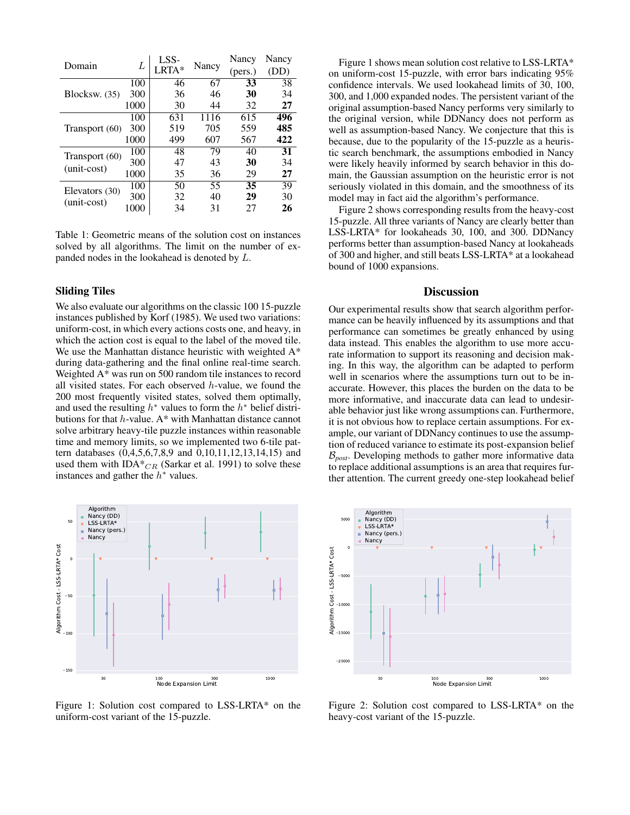| Domain         | L    | LSS- | Nancy | Nancy   | Nancy |
|----------------|------|------|-------|---------|-------|
|                |      |      |       | (pers.) | (DD)  |
|                | 100  | 46   | 67    | 33      | 38    |
| Blocksw. (35)  | 300  | 36   | 46    | 30      | 34    |
|                | 1000 | 30   | 44    | 32      | 27    |
|                | 100  | 631  | 1116  | 615     | 496   |
| Transport (60) | 300  | 519  | 705   | 559     | 485   |
|                | 1000 | 499  | 607   | 567     | 422   |
| Transport (60) | 100  | 48   | 79    | 40      | 31    |
|                | 300  | 47   | 43    | 30      | 34    |
| (unit-cost)    | 1000 | 35   | 36    | 29      | 27    |
| Elevators (30) | 100  | 50   | 55    | 35      | 39    |
| $(unit-cost)$  | 300  | 32   | 40    | 29      | 30    |
|                | 1000 | 34   | 31    | 27      | 26    |

Table 1: Geometric means of the solution cost on instances solved by all algorithms. The limit on the number of expanded nodes in the lookahead is denoted by L.

## Sliding Tiles

We also evaluate our algorithms on the classic 100 15-puzzle instances published by Korf (1985). We used two variations: uniform-cost, in which every actions costs one, and heavy, in which the action cost is equal to the label of the moved tile. We use the Manhattan distance heuristic with weighted  $A^*$ during data-gathering and the final online real-time search. Weighted A\* was run on 500 random tile instances to record all visited states. For each observed  $h$ -value, we found the 200 most frequently visited states, solved them optimally, and used the resulting  $h^*$  values to form the  $h^*$  belief distributions for that h-value. A\* with Manhattan distance cannot solve arbitrary heavy-tile puzzle instances within reasonable time and memory limits, so we implemented two 6-tile pattern databases (0,4,5,6,7,8,9 and 0,10,11,12,13,14,15) and used them with IDA $*_{CR}$  (Sarkar et al. 1991) to solve these instances and gather the  $h^*$  values.



Figure 1: Solution cost compared to LSS-LRTA\* on the uniform-cost variant of the 15-puzzle.

Figure 1 shows mean solution cost relative to LSS-LRTA\* on uniform-cost 15-puzzle, with error bars indicating 95% confidence intervals. We used lookahead limits of 30, 100, 300, and 1,000 expanded nodes. The persistent variant of the original assumption-based Nancy performs very similarly to the original version, while DDNancy does not perform as well as assumption-based Nancy. We conjecture that this is because, due to the popularity of the 15-puzzle as a heuristic search benchmark, the assumptions embodied in Nancy were likely heavily informed by search behavior in this domain, the Gaussian assumption on the heuristic error is not seriously violated in this domain, and the smoothness of its model may in fact aid the algorithm's performance.

Figure 2 shows corresponding results from the heavy-cost 15-puzzle. All three variants of Nancy are clearly better than LSS-LRTA\* for lookaheads 30, 100, and 300. DDNancy performs better than assumption-based Nancy at lookaheads of 300 and higher, and still beats LSS-LRTA\* at a lookahead bound of 1000 expansions.

## **Discussion**

Our experimental results show that search algorithm performance can be heavily influenced by its assumptions and that performance can sometimes be greatly enhanced by using data instead. This enables the algorithm to use more accurate information to support its reasoning and decision making. In this way, the algorithm can be adapted to perform well in scenarios where the assumptions turn out to be inaccurate. However, this places the burden on the data to be more informative, and inaccurate data can lead to undesirable behavior just like wrong assumptions can. Furthermore, it is not obvious how to replace certain assumptions. For example, our variant of DDNancy continues to use the assumption of reduced variance to estimate its post-expansion belief  $\mathcal{B}_{\text{post}}$ . Developing methods to gather more informative data to replace additional assumptions is an area that requires further attention. The current greedy one-step lookahead belief



Figure 2: Solution cost compared to LSS-LRTA\* on the heavy-cost variant of the 15-puzzle.